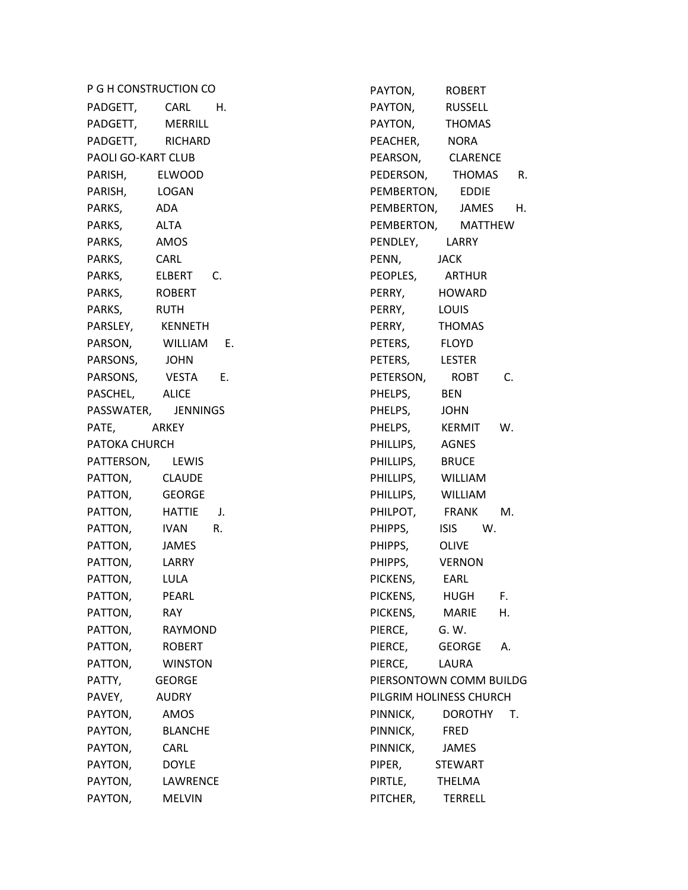P G H CONSTRUCTION CO PADGETT, CARL H. PADGETT, MERRILL PADGETT, RICHARD PAOLI GO-KART CLUB PARISH, ELWOOD PARISH, LOGAN PARKS, ADA PARKS, ALTA PARKS, AMOS PARKS, CARL PARKS, ELBERT C. PARKS, ROBERT PARKS, RUTH PARSLEY, KENNETH PARSON, WILLIAM E. PARSONS, JOHN PARSONS, VESTA E. PASCHEL, ALICE PASSWATER, JENNINGS PATE, ARKEY PATOKA CHURCH PATTERSON, LEWIS PATTON, CLAUDE PATTON, GEORGE PATTON, HATTIE J. PATTON, IVAN R. PATTON, JAMES PATTON, LARRY PATTON, LULA PATTON, PEARL PATTON, RAY PATTON, RAYMOND PATTON, ROBERT PATTON, WINSTON PATTY, GEORGE PAVEY, AUDRY PAYTON, AMOS PAYTON, BLANCHE PAYTON, CARL PAYTON, DOYLE PAYTON, LAWRENCE PAYTON, MELVIN

PAYTON, ROBERT PAYTON, RUSSELL PAYTON, THOMAS PEACHER, NORA PEARSON, CLARENCE PEDERSON, THOMAS R. PEMBERTON, EDDIE PEMBERTON, JAMES H. PEMBERTON, MATTHEW PENDLEY, LARRY PENN, JACK PEOPLES, ARTHUR PERRY, HOWARD PERRY, LOUIS PERRY, THOMAS PETERS, FLOYD PETERS, LESTER PETERSON, ROBT C. PHELPS, BEN PHELPS, JOHN PHELPS, KERMIT W. PHILLIPS, AGNES PHILLIPS, BRUCE PHILLIPS, WILLIAM PHILLIPS, WILLIAM PHILPOT, FRANK M. PHIPPS, ISIS W. PHIPPS, OLIVE PHIPPS, VERNON PICKENS, EARL PICKENS, HUGH F. PICKENS, MARIE H. PIERCE, G. W. PIERCE, GEORGE A. PIERCE, LAURA PIERSONTOWN COMM BUILDG PILGRIM HOLINESS CHURCH PINNICK, DOROTHY T. PINNICK, FRED PINNICK, JAMES PIPER, STEWART PIRTLE, THELMA PITCHER, TERRELL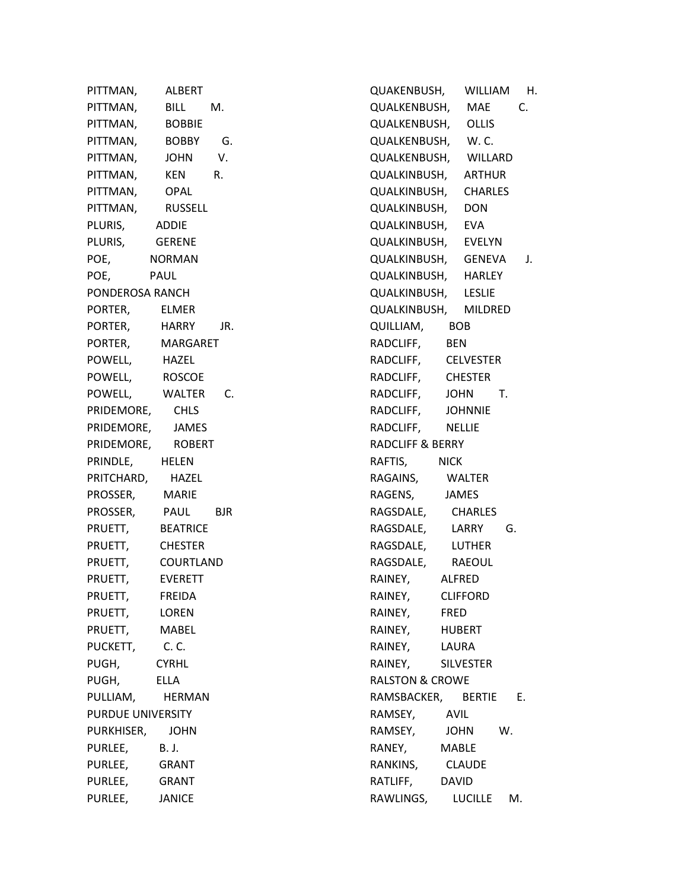PITTMAN, ALBERT PITTMAN, BILL M. PITTMAN, BOBBIE PITTMAN, BOBBY G. PITTMAN, JOHN V. PITTMAN, KEN R. PITTMAN, OPAL PITTMAN, RUSSELL PLURIS, ADDIE PLURIS, GERENE POE, NORMAN POE, PAUL PONDEROSA RANCH PORTER, ELMER PORTER, HARRY JR. PORTER, MARGARET POWELL, HAZEL POWELL, ROSCOE POWELL, WALTER C. PRIDEMORE, CHLS PRIDEMORE, JAMES PRIDEMORE, ROBERT PRINDLE, HELEN PRITCHARD, HAZEL PROSSER, MARIE PROSSER, PAUL BJR PRUETT, BEATRICE PRUETT, CHESTER PRUETT, COURTLAND PRUETT, EVERETT PRUETT, FREIDA PRUETT, LOREN PRUETT, MABEL PUCKETT, C. C. PUGH, CYRHL PUGH, ELLA PULLIAM, HERMAN PURDUE UNIVERSITY PURKHISER, JOHN PURLEE, B. J. PURLEE, GRANT PURLEE, GRANT PURLEE, JANICE

QUAKENBUSH, WILLIAM H. QUALKENBUSH, MAE C. QUALKENBUSH, OLLIS QUALKENBUSH, W. C. QUALKENBUSH, WILLARD QUALKINBUSH, ARTHUR QUALKINBUSH, CHARLES QUALKINBUSH, DON QUALKINBUSH, EVA QUALKINBUSH, EVELYN QUALKINBUSH, GENEVA J. QUALKINBUSH, HARLEY QUALKINBUSH, LESLIE QUALKINBUSH, MILDRED QUILLIAM, BOB RADCLIFF, BEN RADCLIFF, CELVESTER RADCLIFF, CHESTER RADCLIFF, JOHN T. RADCLIFF, JOHNNIE RADCLIFF, NELLIE RADCLIFF & BERRY RAFTIS, NICK RAGAINS, WALTER RAGENS, JAMES RAGSDALE, CHARLES RAGSDALE, LARRY G. RAGSDALE, LUTHER RAGSDALE, RAEOUL RAINEY, ALFRED RAINEY, CLIFFORD RAINEY, FRED RAINEY, HUBERT RAINEY, LAURA RAINEY, SILVESTER RALSTON & CROWE RAMSBACKER, BERTIE E. RAMSEY, AVIL RAMSEY, JOHN W. RANEY, MABLE RANKINS, CLAUDE RATLIFF, DAVID RAWLINGS, LUCILLE M.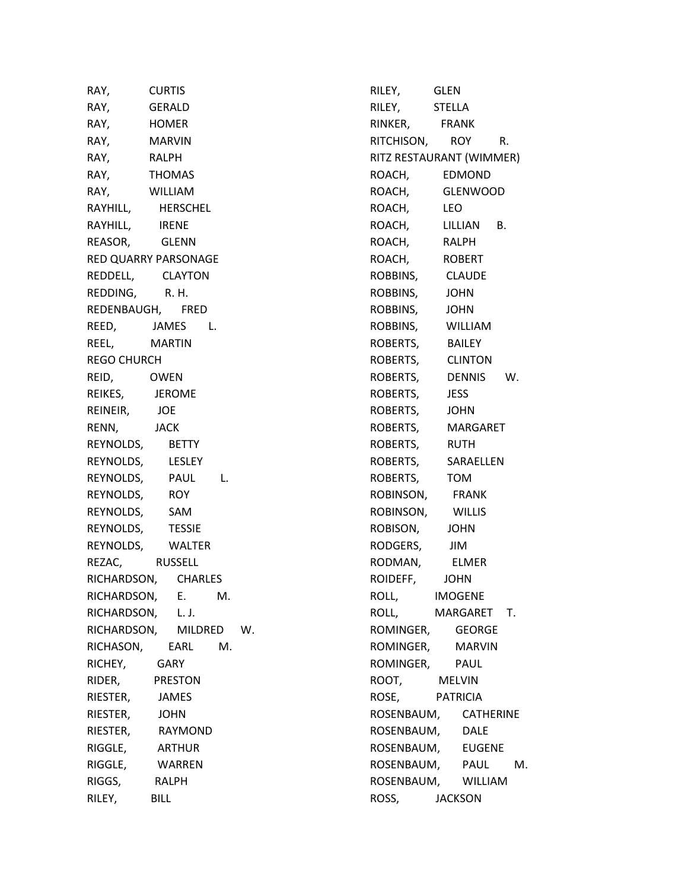RAY, CURTIS RAY, GERALD RAY, HOMER RAY, MARVIN RAY, RALPH RAY, THOMAS RAY, WILLIAM RAYHILL, HERSCHEL RAYHILL, IRENE REASOR, GLENN RED QUARRY PARSONAGE REDDELL, CLAYTON REDDING, R. H. REDENBAUGH, FRED REED, JAMES L. REEL, MARTIN REGO CHURCH REID, OWEN REIKES, JEROME REINEIR, JOE RENN, JACK REYNOLDS, BETTY REYNOLDS, LESLEY REYNOLDS, PAUL L. REYNOLDS, ROY REYNOLDS, SAM REYNOLDS, TESSIE REYNOLDS, WALTER REZAC, RUSSELL RICHARDSON, CHARLES RICHARDSON, E. M. RICHARDSON, L. J. RICHARDSON, MILDRED W. RICHASON, EARL M. RICHEY, GARY RIDER, PRESTON RIESTER, JAMES RIESTER, JOHN RIESTER, RAYMOND RIGGLE, ARTHUR RIGGLE, WARREN RIGGS, RALPH RILEY, BILL

RILEY, GLEN RILEY, STELLA RINKER, FRANK RITCHISON, ROY R. RITZ RESTAURANT (WIMMER) ROACH, EDMOND ROACH, GLENWOOD ROACH, LEO ROACH, LILLIAN B. ROACH, RALPH ROACH, ROBERT ROBBINS, CLAUDE ROBBINS, JOHN ROBBINS, JOHN ROBBINS, WILLIAM ROBERTS, BAILEY ROBERTS, CLINTON ROBERTS, DENNIS W. ROBERTS, JESS ROBERTS, JOHN ROBERTS, MARGARET ROBERTS, RUTH ROBERTS, SARAELLEN ROBERTS, TOM ROBINSON, FRANK ROBINSON, WILLIS ROBISON, JOHN RODGERS, JIM RODMAN, ELMER ROIDEFF, JOHN ROLL, IMOGENE ROLL, MARGARET T. ROMINGER, GEORGE ROMINGER, MARVIN ROMINGER, PAUL ROOT, MELVIN ROSE, PATRICIA ROSENBAUM, CATHERINE ROSENBAUM, DALE ROSENBAUM, EUGENE ROSENBAUM, PAUL M. ROSENBAUM, WILLIAM ROSS, JACKSON